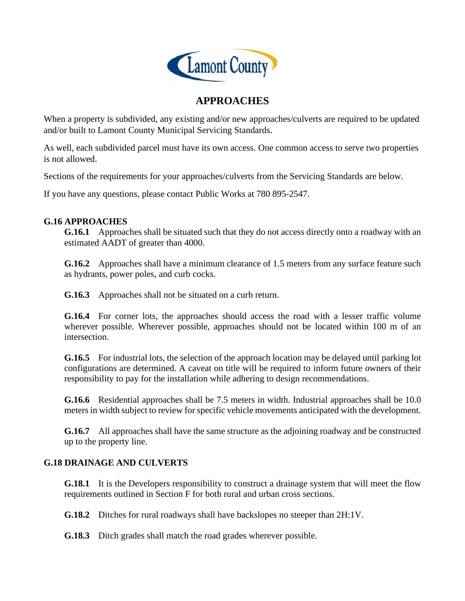

## **APPROACHES**

When a property is subdivided, any existing and/or new approaches/culverts are required to be updated and/or built to Lamont County Municipal Servicing Standards.

As well, each subdivided parcel must have its own access. One common access to serve two properties is not allowed.

Sections of the requirements for your approaches/culverts from the Servicing Standards are below.

If you have any questions, please contact Public Works at 780 895-2547.

## **G.16 APPROACHES**

**G.16.1** Approaches shall be situated such that they do not access directly onto a roadway with an estimated AADT of greater than 4000.

**G.16.2** Approaches shall have a minimum clearance of 1.5 meters from any surface feature such as hydrants, power poles, and curb cocks.

**G.16.3** Approaches shall not be situated on a curb return.

**G.16.4** For corner lots, the approaches should access the road with a lesser traffic volume wherever possible. Wherever possible, approaches should not be located within 100 m of an intersection.

**G.16.5** For industrial lots, the selection of the approach location may be delayed until parking lot configurations are determined. A caveat on title will be required to inform future owners of their responsibility to pay for the installation while adhering to design recommendations.

**G.16.6** Residential approaches shall be 7.5 meters in width. Industrial approaches shall be 10.0 meters in width subject to review for specific vehicle movements anticipated with the development.

**G.16.7** All approaches shall have the same structure as the adjoining roadway and be constructed up to the property line.

## **G.18 DRAINAGE AND CULVERTS**

**G.18.1** It is the Developers responsibility to construct a drainage system that will meet the flow requirements outlined in Section F for both rural and urban cross sections.

**G.18.2** Ditches for rural roadways shall have backslopes no steeper than 2H:1V.

**G.18.3** Ditch grades shall match the road grades wherever possible.